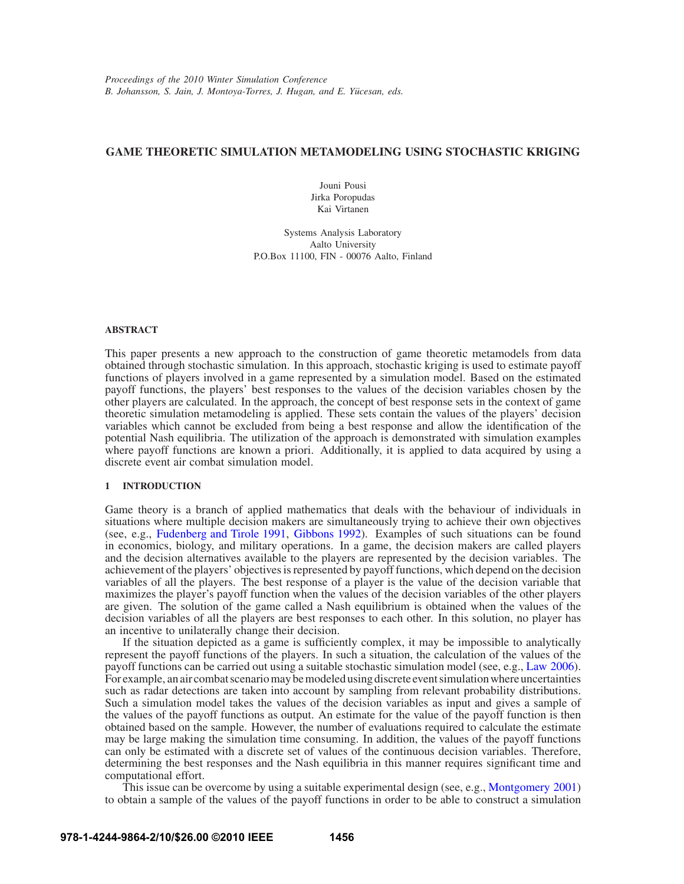# **GAME THEORETIC SIMULATION METAMODELING USING STOCHASTIC KRIGING**

Jouni Pousi Jirka Poropudas Kai Virtanen

Systems Analysis Laboratory Aalto University P.O.Box 11100, FIN - 00076 Aalto, Finland

## **ABSTRACT**

This paper presents a new approach to the construction of game theoretic metamodels from data obtained through stochastic simulation. In this approach, stochastic kriging is used to estimate payoff functions of players involved in a game represented by a simulation model. Based on the estimated payoff functions, the players' best responses to the values of the decision variables chosen by the other players are calculated. In the approach, the concept of best response sets in the context of game theoretic simulation metamodeling is applied. These sets contain the values of the players' decision variables which cannot be excluded from being a best response and allow the identification of the potential Nash equilibria. The utilization of the approach is demonstrated with simulation examples where payoff functions are known a priori. Additionally, it is applied to data acquired by using a discrete event air combat simulation model.

## **1 INTRODUCTION**

Game theory is a branch of applied mathematics that deals with the behaviour of individuals in situations where multiple decision makers are simultaneously trying to achieve their own objectives (see, e.g., Fudenberg and Tirole 1991, Gibbons 1992). Examples of such situations can be found in economics, biology, and military operations. In a game, the decision makers are called players and the decision alternatives available to the players are represented by the decision variables. The achievement of the players' objectives is represented by payoff functions, which depend on the decision variables of all the players. The best response of a player is the value of the decision variable that maximizes the player's payoff function when the values of the decision variables of the other players are given. The solution of the game called a Nash equilibrium is obtained when the values of the decision variables of all the players are best responses to each other. In this solution, no player has an incentive to unilaterally change their decision.

If the situation depicted as a game is sufficiently complex, it may be impossible to analytically represent the payoff functions of the players. In such a situation, the calculation of the values of the payoff functions can be carried out using a suitable stochastic simulation model (see, e.g., Law 2006). For example, an air combat scenario may be modeled using discrete event simulation where uncertainties such as radar detections are taken into account by sampling from relevant probability distributions. Such a simulation model takes the values of the decision variables as input and gives a sample of the values of the payoff functions as output. An estimate for the value of the payoff function is then obtained based on the sample. However, the number of evaluations required to calculate the estimate may be large making the simulation time consuming. In addition, the values of the payoff functions can only be estimated with a discrete set of values of the continuous decision variables. Therefore, determining the best responses and the Nash equilibria in this manner requires significant time and computational effort.

This issue can be overcome by using a suitable experimental design (see, e.g., Montgomery 2001) to obtain a sample of the values of the payoff functions in order to be able to construct a simulation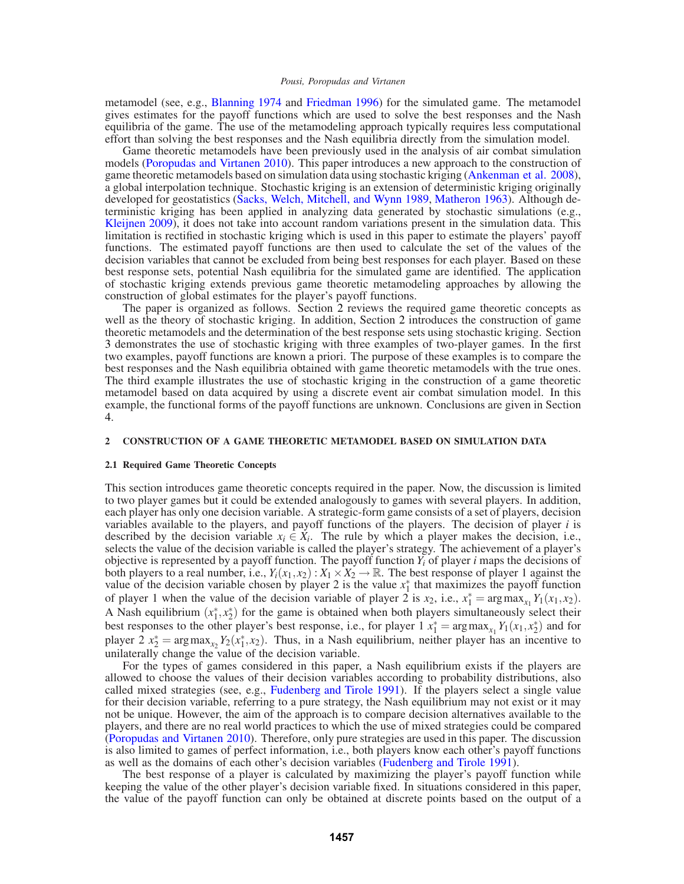metamodel (see, e.g., Blanning 1974 and Friedman 1996) for the simulated game. The metamodel gives estimates for the payoff functions which are used to solve the best responses and the Nash equilibria of the game. The use of the metamodeling approach typically requires less computational effort than solving the best responses and the Nash equilibria directly from the simulation model.

Game theoretic metamodels have been previously used in the analysis of air combat simulation models (Poropudas and Virtanen 2010). This paper introduces a new approach to the construction of game theoretic metamodels based on simulation data using stochastic kriging (Ankenman et al. 2008), a global interpolation technique. Stochastic kriging is an extension of deterministic kriging originally developed for geostatistics (Sacks, Welch, Mitchell, and Wynn 1989, Matheron 1963). Although deterministic kriging has been applied in analyzing data generated by stochastic simulations (e.g., Kleijnen 2009), it does not take into account random variations present in the simulation data. This limitation is rectified in stochastic kriging which is used in this paper to estimate the players' payoff functions. The estimated payoff functions are then used to calculate the set of the values of the decision variables that cannot be excluded from being best responses for each player. Based on these best response sets, potential Nash equilibria for the simulated game are identified. The application of stochastic kriging extends previous game theoretic metamodeling approaches by allowing the construction of global estimates for the player's payoff functions.

The paper is organized as follows. Section 2 reviews the required game theoretic concepts as well as the theory of stochastic kriging. In addition, Section 2 introduces the construction of game theoretic metamodels and the determination of the best response sets using stochastic kriging. Section 3 demonstrates the use of stochastic kriging with three examples of two-player games. In the first two examples, payoff functions are known a priori. The purpose of these examples is to compare the best responses and the Nash equilibria obtained with game theoretic metamodels with the true ones. The third example illustrates the use of stochastic kriging in the construction of a game theoretic metamodel based on data acquired by using a discrete event air combat simulation model. In this example, the functional forms of the payoff functions are unknown. Conclusions are given in Section 4.

## **2 CONSTRUCTION OF A GAME THEORETIC METAMODEL BASED ON SIMULATION DATA**

### **2.1 Required Game Theoretic Concepts**

This section introduces game theoretic concepts required in the paper. Now, the discussion is limited to two player games but it could be extended analogously to games with several players. In addition, each player has only one decision variable. A strategic-form game consists of a set of players, decision variables available to the players, and payoff functions of the players. The decision of player *i* is described by the decision variable  $x_i \in X_i$ . The rule by which a player makes the decision, i.e., selects the value of the decision variable is called the player's strategy. The achievement of a player's objective is represented by a payoff function. The payoff function *Yi* of player *i* maps the decisions of both players to a real number, i.e.,  $Y_i(x_1, x_2)$ :  $X_1 \times X_2 \to \mathbb{R}$ . The best response of player 1 against the value of the decision variable chosen by player 2 is the value  $x_1^*$  that maximizes the payoff function of player 1 when the value of the decision variable of player 2 is  $x_2$ , i.e.,  $x_1^* = \arg \max_{x_1} Y_1(x_1, x_2)$ . A Nash equilibrium  $(x_1^*, x_2^*)$  for the game is obtained when both players simultaneously select their best responses to the other player's best response, i.e., for player  $1 x_1^* = \arg \max_{x_1} Y_1(x_1, x_2^*)$  and for player 2  $x_2^* = \arg \max_{x_2} Y_2(x_1^*, x_2)$ . Thus, in a Nash equilibrium, neither player has an incentive to unilaterally change the value of the decision variable.

For the types of games considered in this paper, a Nash equilibrium exists if the players are allowed to choose the values of their decision variables according to probability distributions, also called mixed strategies (see, e.g., Fudenberg and Tirole 1991). If the players select a single value for their decision variable, referring to a pure strategy, the Nash equilibrium may not exist or it may not be unique. However, the aim of the approach is to compare decision alternatives available to the players, and there are no real world practices to which the use of mixed strategies could be compared (Poropudas and Virtanen 2010). Therefore, only pure strategies are used in this paper. The discussion is also limited to games of perfect information, i.e., both players know each other's payoff functions as well as the domains of each other's decision variables (Fudenberg and Tirole 1991).

The best response of a player is calculated by maximizing the player's payoff function while keeping the value of the other player's decision variable fixed. In situations considered in this paper, the value of the payoff function can only be obtained at discrete points based on the output of a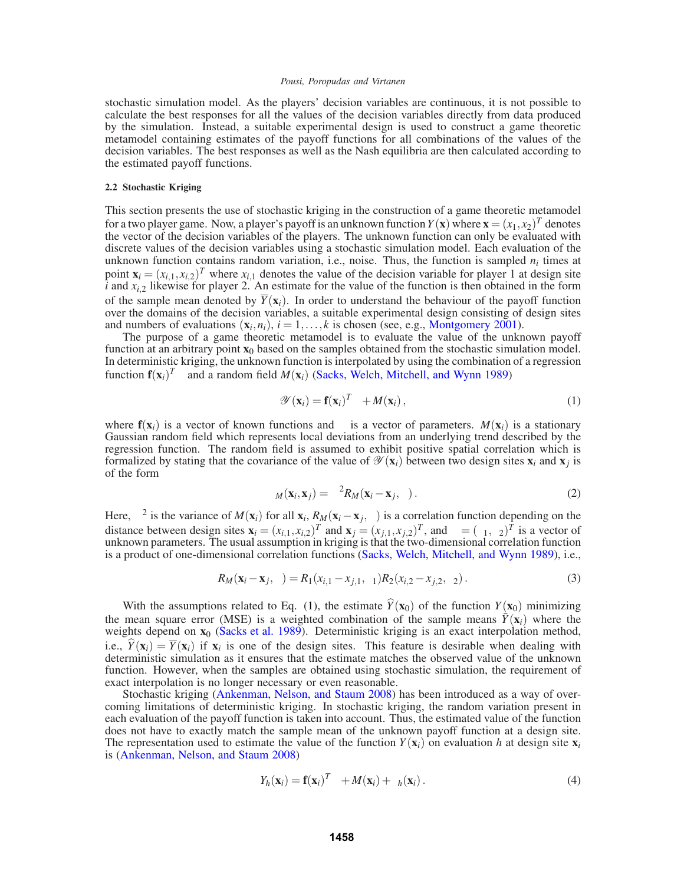stochastic simulation model. As the players' decision variables are continuous, it is not possible to calculate the best responses for all the values of the decision variables directly from data produced by the simulation. Instead, a suitable experimental design is used to construct a game theoretic metamodel containing estimates of the payoff functions for all combinations of the values of the decision variables. The best responses as well as the Nash equilibria are then calculated according to the estimated payoff functions.

### **2.2 Stochastic Kriging**

This section presents the use of stochastic kriging in the construction of a game theoretic metamodel for a two player game. Now, a player's payoff is an unknown function  $Y(\mathbf{x})$  where  $\mathbf{x} = (x_1, x_2)^T$  denotes the vector of the decision variables of the players. The unknown function can only be evaluated with discrete values of the decision variables using a stochastic simulation model. Each evaluation of the unknown function contains random variation, i.e., noise. Thus, the function is sampled  $n_i$  times at point  $\mathbf{x}_i = (x_{i,1}, x_{i,2})^T$  where  $x_{i,1}$  denotes the value of the decision variable for player 1 at design site  $\overline{i}$  and  $x_{i,2}$  likewise for player 2. An estimate for the value of the function is then obtained in the form of the sample mean denoted by  $\overline{Y}(\mathbf{x}_i)$ . In order to understand the behaviour of the payoff function over the domains of the decision variables, a suitable experimental design consisting of design sites and numbers of evaluations  $(\mathbf{x}_i, n_i)$ ,  $i = 1, \ldots, k$  is chosen (see, e.g., Montgomery 2001).

The purpose of a game theoretic metamodel is to evaluate the value of the unknown payoff function at an arbitrary point **x**<sup>0</sup> based on the samples obtained from the stochastic simulation model. In deterministic kriging, the unknown function is interpolated by using the combination of a regression function  $f(x_i)^T \beta$  and a random field  $M(x_i)$  (Sacks, Welch, Mitchell, and Wynn 1989)

$$
\mathscr{Y}(\mathbf{x}_i) = \mathbf{f}(\mathbf{x}_i)^T \boldsymbol{\beta} + M(\mathbf{x}_i), \qquad (1)
$$

where  $f(x_i)$  is a vector of known functions and  $\beta$  is a vector of parameters.  $M(x_i)$  is a stationary Gaussian random field which represents local deviations from an underlying trend described by the regression function. The random field is assumed to exhibit positive spatial correlation which is formalized by stating that the covariance of the value of  $\mathscr{Y}(\mathbf{x}_i)$  between two design sites  $\mathbf{x}_i$  and  $\mathbf{x}_j$  is of the form

$$
\Sigma_M(\mathbf{x}_i, \mathbf{x}_j) = \sigma^2 R_M(\mathbf{x}_i - \mathbf{x}_j, \theta).
$$
 (2)

Here,  $\sigma^2$  is the variance of  $M(\mathbf{x}_i)$  for all  $\mathbf{x}_i$ ,  $R_M(\mathbf{x}_i - \mathbf{x}_j, \theta)$  is a correlation function depending on the distance between design sites  $\mathbf{x}_i = (x_{i,1}, x_{i,2})^T$  and  $\mathbf{x}_j = (x_{j,1}, x_{j,2})^T$ , and  $\theta = (\theta_1, \theta_2)^T$  is a vector of unknown parameters. The usual assumption in kriging is that the two-dimensional correlation function is a product of one-dimensional correlation functions (Sacks, Welch, Mitchell, and Wynn 1989), i.e.,

$$
R_M(\mathbf{x}_i - \mathbf{x}_j, \theta) = R_1(x_{i,1} - x_{j,1}, \theta_1) R_2(x_{i,2} - x_{j,2}, \theta_2).
$$
 (3)

With the assumptions related to Eq. (1), the estimate  $\hat{Y}(\mathbf{x}_0)$  of the function  $Y(\mathbf{x}_0)$  minimizing the mean square error (MSE) is a weighted combination of the sample means  $\hat{Y}(\mathbf{x}_i)$  where the weights depend on **x**<sub>0</sub> (Sacks et al. 1989). Deterministic kriging is an exact interpolation method, i.e.,  $\hat{Y}(\mathbf{x}_i) = \overline{Y}(\mathbf{x}_i)$  if  $\mathbf{x}_i$  is one of the design sites. This feature is desirable when dealing with deterministic simulation as it ensures that the estimate matches the observed value of the unknown function. However, when the samples are obtained using stochastic simulation, the requirement of exact interpolation is no longer necessary or even reasonable.

Stochastic kriging (Ankenman, Nelson, and Staum 2008) has been introduced as a way of overcoming limitations of deterministic kriging. In stochastic kriging, the random variation present in each evaluation of the payoff function is taken into account. Thus, the estimated value of the function does not have to exactly match the sample mean of the unknown payoff function at a design site. The representation used to estimate the value of the function  $Y(\mathbf{x}_i)$  on evaluation *h* at design site  $\mathbf{x}_i$ is (Ankenman, Nelson, and Staum 2008)

$$
Y_h(\mathbf{x}_i) = \mathbf{f}(\mathbf{x}_i)^T \boldsymbol{\beta} + M(\mathbf{x}_i) + \varepsilon_h(\mathbf{x}_i).
$$
 (4)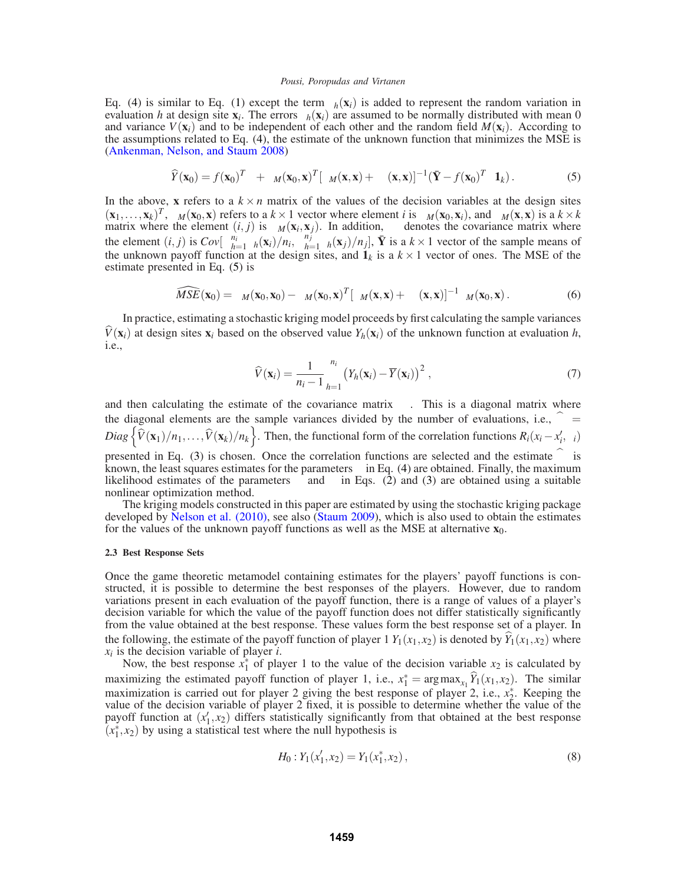Eq. (4) is similar to Eq. (1) except the term  $\varepsilon_h(\mathbf{x}_i)$  is added to represent the random variation in evaluation *h* at design site  $\mathbf{x}_i$ . The errors  $\varepsilon_h(\mathbf{x}_i)$  are assumed to be normally distributed with mean 0 and variance  $V(\mathbf{x}_i)$  and to be independent of each other and the random field  $M(\mathbf{x}_i)$ . According to the assumptions related to Eq. (4), the estimate of the unknown function that minimizes the MSE is (Ankenman, Nelson, and Staum 2008)

$$
\widehat{Y}(\mathbf{x}_0) = f(\mathbf{x}_0)^T \boldsymbol{\beta} + \Sigma_M(\mathbf{x}_0, \mathbf{x})^T [\Sigma_M(\mathbf{x}, \mathbf{x}) + \Sigma_{\varepsilon}(\mathbf{x}, \mathbf{x})]^{-1} (\overline{Y} - f(\mathbf{x}_0)^T \boldsymbol{\beta} \mathbf{1}_k).
$$
(5)

In the above, **x** refers to a  $k \times n$  matrix of the values of the decision variables at the design sites  $(\mathbf{x}_1,\ldots,\mathbf{x}_k)^T$ ,  $\Sigma_M(\mathbf{x}_0,\mathbf{x})$  refers to a  $k \times 1$  vector where element *i* is  $\Sigma_M(\mathbf{x}_0,\mathbf{x}_i)$ , and  $\Sigma_M(\mathbf{x},\mathbf{x})$  is a  $k \times k$ matrix where the element  $(i, j)$  is  $\Sigma_M(\mathbf{x}_i, \mathbf{x}_j)$ . In addition,  $\Sigma_{\varepsilon}$  denotes the covariance matrix where the element  $(i, j)$  is  $Cov[\sum_{h=1}^{n_i} \varepsilon_h(\mathbf{x}_i)/n_i, \sum_{h=1}^{n_j} \varepsilon_h(\mathbf{x}_j)/n_j]$ ,  $\overline{Y}$  is a  $k \times 1$  vector of the sample means of the unknown payoff function at the design sites, and  $\mathbf{1}_k$  is a  $k \times 1$  vector of ones. The MSE of the estimate presented in Eq. (5) is

$$
\widehat{MSE}(\mathbf{x}_0) = \Sigma_M(\mathbf{x}_0, \mathbf{x}_0) - \Sigma_M(\mathbf{x}_0, \mathbf{x})^T [\Sigma_M(\mathbf{x}, \mathbf{x}) + \Sigma_E(\mathbf{x}, \mathbf{x})]^{-1} \Sigma_M(\mathbf{x}_0, \mathbf{x}).
$$
\n(6)

In practice, estimating a stochastic kriging model proceeds by first calculating the sample variances  $V(\mathbf{x}_i)$  at design sites  $\mathbf{x}_i$  based on the observed value  $Y_h(\mathbf{x}_i)$  of the unknown function at evaluation *h*, i.e.,

$$
\widehat{V}(\mathbf{x}_i) = \frac{1}{n_i - 1} \sum_{h=1}^{n_i} \left( Y_h(\mathbf{x}_i) - \overline{Y}(\mathbf{x}_i) \right)^2, \tag{7}
$$

and then calculating the estimate of the covariance matrix  $\Sigma_{\varepsilon}$ . This is a diagonal matrix where the diagonal elements are the sample variances divided by the number of evaluations, i.e.,  $\hat{\Sigma}_{\varepsilon}$  =  $Diag\{\overline{\hat{V}}(\mathbf{x}_1)/n_1,\ldots,\widehat{V}(\mathbf{x}_k)/n_k\}$ . Then, the functional form of the correlation functions  $R_i(x_i - x'_i, \theta_i)$ presented in Eq. (3) is chosen. Once the correlation functions are selected and the estimate  $\Sigma_{\varepsilon}$  is known, the least squares estimates for the parameters  $\beta$  in Eq. (4) are obtained. Finally, the maximum likelihood estimates of the parameters  $\sigma$  and  $\theta$  in Eqs. (2) and (3) are obtained using a suitable nonlinear optimization method.

The kriging models constructed in this paper are estimated by using the stochastic kriging package developed by Nelson et al. (2010), see also (Staum 2009), which is also used to obtain the estimates for the values of the unknown payoff functions as well as the MSE at alternative **x**0.

## **2.3 Best Response Sets**

Once the game theoretic metamodel containing estimates for the players' payoff functions is constructed, it is possible to determine the best responses of the players. However, due to random variations present in each evaluation of the payoff function, there is a range of values of a player's decision variable for which the value of the payoff function does not differ statistically significantly from the value obtained at the best response. These values form the best response set of a player. In the following, the estimate of the payoff function of player 1  $Y_1(x_1, x_2)$  is denoted by  $\hat{Y}_1(x_1, x_2)$  where *xi* is the decision variable of player *i*.

Now, the best response  $\hat{x}_1^*$  of player 1 to the value of the decision variable  $x_2$  is calculated by maximizing the estimated payoff function of player 1, i.e.,  $x_1^* = \arg \max_{x_1} \hat{Y}_1(x_1, x_2)$ . The similar maximization is carried out for player 2 giving the best response of player 2, i.e., *x*<sup>∗</sup> <sup>2</sup>. Keeping the value of the decision variable of player 2 fixed, it is possible to determine whether the value of the payoff function at  $(x'_1, x_2)$  differs statistically significantly from that obtained at the best response  $(x_1^*, x_2)$  by using a statistical test where the null hypothesis is

$$
H_0: Y_1(x'_1, x_2) = Y_1(x_1^*, x_2), \qquad (8)
$$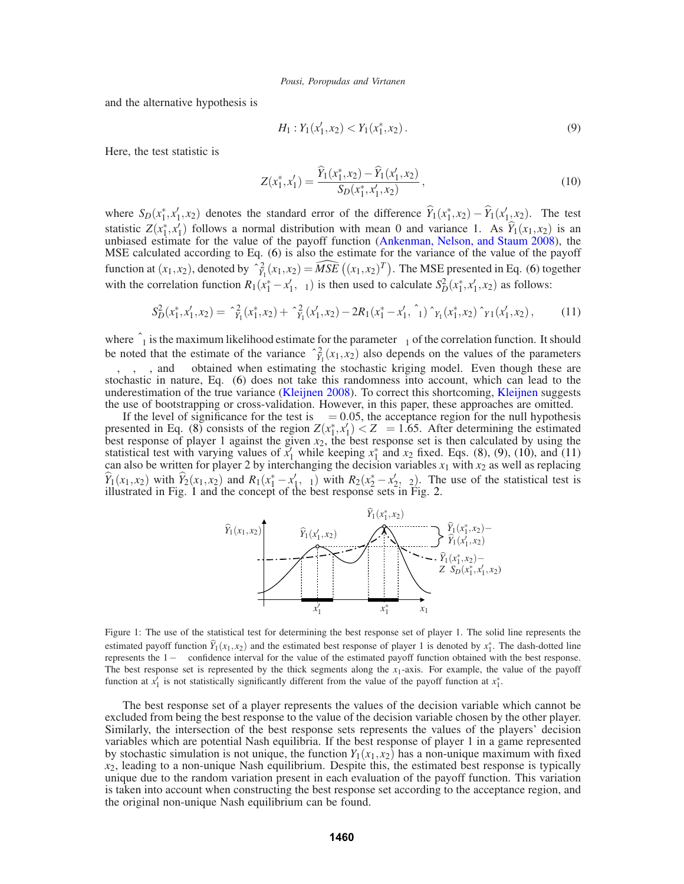and the alternative hypothesis is

$$
H_1: Y_1(x'_1, x_2) < Y_1(x_1^*, x_2) \,. \tag{9}
$$

Here, the test statistic is

$$
Z(x_1^*, x_1') = \frac{\widehat{Y}_1(x_1^*, x_2) - \widehat{Y}_1(x_1', x_2)}{S_D(x_1^*, x_1', x_2)},
$$
\n(10)

where  $S_D(x_1^*, x_1', x_2)$  denotes the standard error of the difference  $\hat{Y}_1(x_1^*, x_2) - \hat{Y}_1(x_1', x_2)$ . The test statistic  $Z(x_1^*, x_1')$  follows a normal distribution with mean 0 and variance 1. As  $\hat{Y}_1(x_1, x_2)$  is an unbiased estimate for the value of the payoff function (Ankenman, Nelson, and Staum 2008), the MSE calculated according to Eq. (6) is also the estimate for the variance of the value of the payoff function at  $(x_1, x_2)$ , denoted by  $\hat{\sigma}_{Y_1}^2(x_1, x_2) = \widehat{MSE}((x_1, x_2)^T)$ . The MSE presented in Eq. (6) together with the correlation function  $R_1(x_1^* - x_1', \theta_1)$  is then used to calculate  $S_D^2(x_1^*, x_1', x_2)$  as follows:

$$
S_D^2(x_1^*, x_1', x_2) = \hat{\sigma}_{Y_1}^2(x_1^*, x_2) + \hat{\sigma}_{Y_1}^2(x_1', x_2) - 2R_1(x_1^* - x_1', \hat{\theta}_1)\hat{\sigma}_{Y_1}(x_1^*, x_2)\hat{\sigma}_{Y_1}(x_1', x_2), \quad (11)
$$

where  $\hat{\theta}_1$  is the maximum likelihood estimate for the parameter  $\theta_1$  of the correlation function. It should be noted that the estimate of the variance  $\hat{\sigma}_{Y_1}^2(x_1,x_2)$  also depends on the values of the parameters  $\Sigma_{\varepsilon}$ ,  $\beta$ ,  $\sigma$ , and  $\theta$  obtained when estimating the stochastic kriging model. Even though these are stochastic in nature, Eq. (6) does not take this randomness into account, which can lead to the underestimation of the true variance (Kleijnen 2008). To correct this shortcoming, Kleijnen suggests the use of bootstrapping or cross-validation. However, in this paper, these approaches are omitted.

If the level of significance for the test is  $\alpha = 0.05$ , the acceptance region for the null hypothesis presented in Eq. (8) consists of the region  $Z(x_1^*, x_1') < Z_\alpha = 1.65$ . After determining the estimated best response of player 1 against the given *x*2, the best response set is then calculated by using the statistical test with varying values of  $x'_1$  while keeping  $x_1^*$  and  $x_2$  fixed. Eqs. (8), (9), (10), and (11) can also be written for player 2 by interchanging the decision variables  $x_1$  with  $x_2$  as well as replacing  $\hat{Y}_1(x_1, x_2)$  with  $\hat{Y}_2(x_1, x_2)$  and  $R_1(x_1^* - x_1', \theta_1)$  with  $R_2(x_2^* - x_2', \theta_2)$ . The use of the statistical test is illustrated in Fig. 1 and the concept of the best response sets in Fig. 2.



Figure 1: The use of the statistical test for determining the best response set of player 1. The solid line represents the estimated payoff function  $\hat{Y}_1(x_1, x_2)$  and the estimated best response of player 1 is denoted by  $x_1^*$ . The dash-dotted line represents the  $1-\alpha$  confidence interval for the value of the estimated payoff function obtained with the best response. The best response set is represented by the thick segments along the  $x_1$ -axis. For example, the value of the payoff function at  $x'_1$  is not statistically significantly different from the value of the payoff function at  $x_1^*$ .

The best response set of a player represents the values of the decision variable which cannot be excluded from being the best response to the value of the decision variable chosen by the other player. Similarly, the intersection of the best response sets represents the values of the players' decision variables which are potential Nash equilibria. If the best response of player 1 in a game represented by stochastic simulation is not unique, the function  $Y_1(x_1, x_2)$  has a non-unique maximum with fixed  $x_2$ , leading to a non-unique Nash equilibrium. Despite this, the estimated best response is typically unique due to the random variation present in each evaluation of the payoff function. This variation is taken into account when constructing the best response set according to the acceptance region, and the original non-unique Nash equilibrium can be found.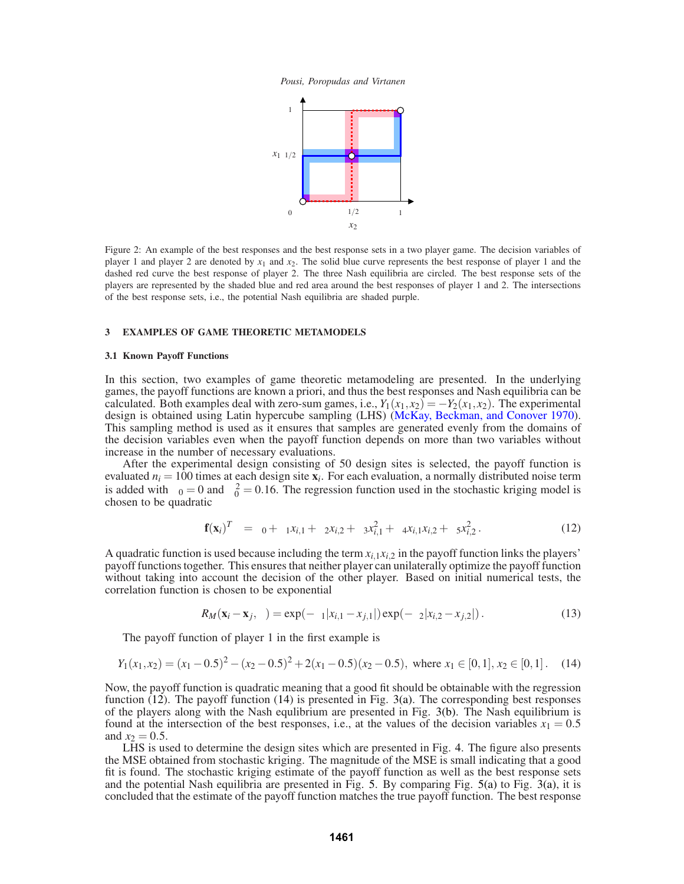



Figure 2: An example of the best responses and the best response sets in a two player game. The decision variables of player 1 and player 2 are denoted by  $x_1$  and  $x_2$ . The solid blue curve represents the best response of player 1 and the dashed red curve the best response of player 2. The three Nash equilibria are circled. The best response sets of the players are represented by the shaded blue and red area around the best responses of player 1 and 2. The intersections of the best response sets, i.e., the potential Nash equilibria are shaded purple.

## **3 EXAMPLES OF GAME THEORETIC METAMODELS**

#### **3.1 Known Payoff Functions**

In this section, two examples of game theoretic metamodeling are presented. In the underlying games, the payoff functions are known a priori, and thus the best responses and Nash equilibria can be calculated. Both examples deal with zero-sum games, i.e.,  $Y_1(x_1, x_2) = -Y_2(x_1, x_2)$ . The experimental design is obtained using Latin hypercube sampling (LHS) (McKay, Beckman, and Conover 1970). This sampling method is used as it ensures that samples are generated evenly from the domains of the decision variables even when the payoff function depends on more than two variables without increase in the number of necessary evaluations.

After the experimental design consisting of 50 design sites is selected, the payoff function is evaluated  $n_i = 100$  times at each design site  $\mathbf{x}_i$ . For each evaluation, a normally distributed noise term is added with  $\mu_0 = 0$  and  $\sigma_0^2 = 0.16$ . The regression function used in the stochastic kriging model is chosen to be quadratic

$$
\mathbf{f}(\mathbf{x}_i)^T \boldsymbol{\beta} = \beta_0 + \beta_1 x_{i,1} + \beta_2 x_{i,2} + \beta_3 x_{i,1}^2 + \beta_4 x_{i,1} x_{i,2} + \beta_5 x_{i,2}^2. \tag{12}
$$

A quadratic function is used because including the term *xi*,<sup>1</sup>*xi*,<sup>2</sup> in the payoff function links the players' payoff functions together. This ensures that neither player can unilaterally optimize the payoff function without taking into account the decision of the other player. Based on initial numerical tests, the correlation function is chosen to be exponential

$$
R_M(\mathbf{x}_i - \mathbf{x}_j, \theta) = \exp(-\theta_1 |x_{i,1} - x_{j,1}|) \exp(-\theta_2 |x_{i,2} - x_{j,2}|).
$$
 (13)

The payoff function of player 1 in the first example is

$$
Y_1(x_1, x_2) = (x_1 - 0.5)^2 - (x_2 - 0.5)^2 + 2(x_1 - 0.5)(x_2 - 0.5), \text{ where } x_1 \in [0, 1], x_2 \in [0, 1]. \tag{14}
$$

Now, the payoff function is quadratic meaning that a good fit should be obtainable with the regression function (12). The payoff function (14) is presented in Fig. 3(a). The corresponding best responses of the players along with the Nash equlibrium are presented in Fig. 3(b). The Nash equilibrium is found at the intersection of the best responses, i.e., at the values of the decision variables  $x_1 = 0.5$ and  $x_2 = 0.5$ .

LHS is used to determine the design sites which are presented in Fig. 4. The figure also presents the MSE obtained from stochastic kriging. The magnitude of the MSE is small indicating that a good fit is found. The stochastic kriging estimate of the payoff function as well as the best response sets and the potential Nash equilibria are presented in Fig. 5. By comparing Fig. 5(a) to Fig. 3(a), it is concluded that the estimate of the payoff function matches the true payoff function. The best response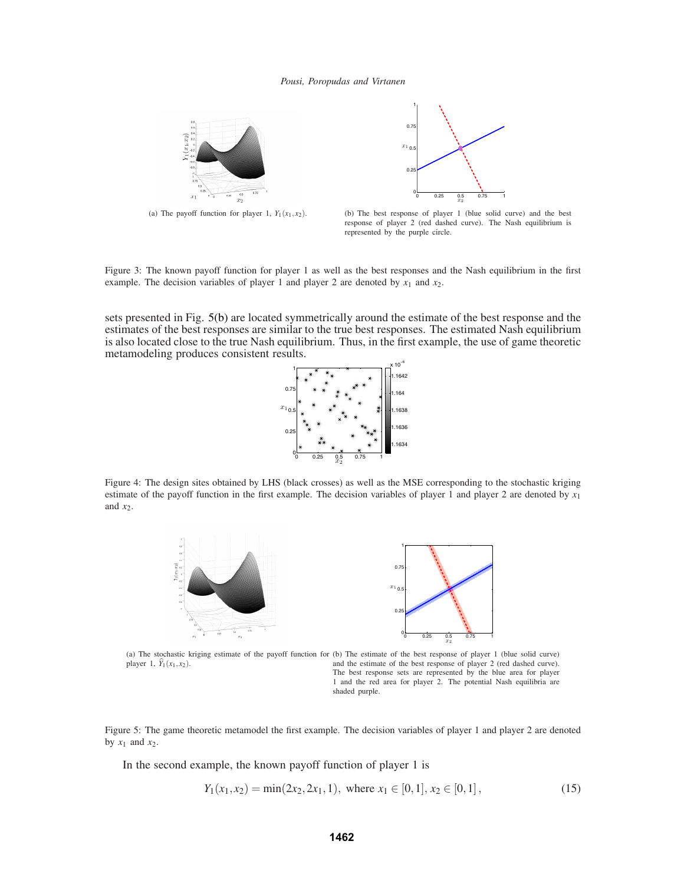

(a) The payoff function for player 1,  $Y_1(x_1, x_2)$ .



(b) The best response of player 1 (blue solid curve) and the best response of player 2 (red dashed curve). The Nash equilibrium is represented by the purple circle.

Figure 3: The known payoff function for player 1 as well as the best responses and the Nash equilibrium in the first example. The decision variables of player 1 and player 2 are denoted by  $x_1$  and  $x_2$ .

sets presented in Fig. 5(b) are located symmetrically around the estimate of the best response and the estimates of the best responses are similar to the true best responses. The estimated Nash equilibrium is also located close to the true Nash equilibrium. Thus, in the first example, the use of game theoretic metamodeling produces consistent results.



Figure 4: The design sites obtained by LHS (black crosses) as well as the MSE corresponding to the stochastic kriging estimate of the payoff function in the first example. The decision variables of player 1 and player 2 are denoted by  $x_1$ and  $x_2$ .



(a) The stochastic kriging estimate of the payoff function for (b) The estimate of the best response of player 1 (blue solid curve) player 1,  $\hat{Y}_1(x_1, x_2)$ . and the estimate of the best response of player 2 (red dashed curve).

The best response sets are represented by the blue area for player 1 and the red area for player 2. The potential Nash equilibria are shaded purple.

Figure 5: The game theoretic metamodel the first example. The decision variables of player 1 and player 2 are denoted by  $x_1$  and  $x_2$ .

In the second example, the known payoff function of player 1 is

$$
Y_1(x_1, x_2) = \min(2x_2, 2x_1, 1), \text{ where } x_1 \in [0, 1], x_2 \in [0, 1], \tag{15}
$$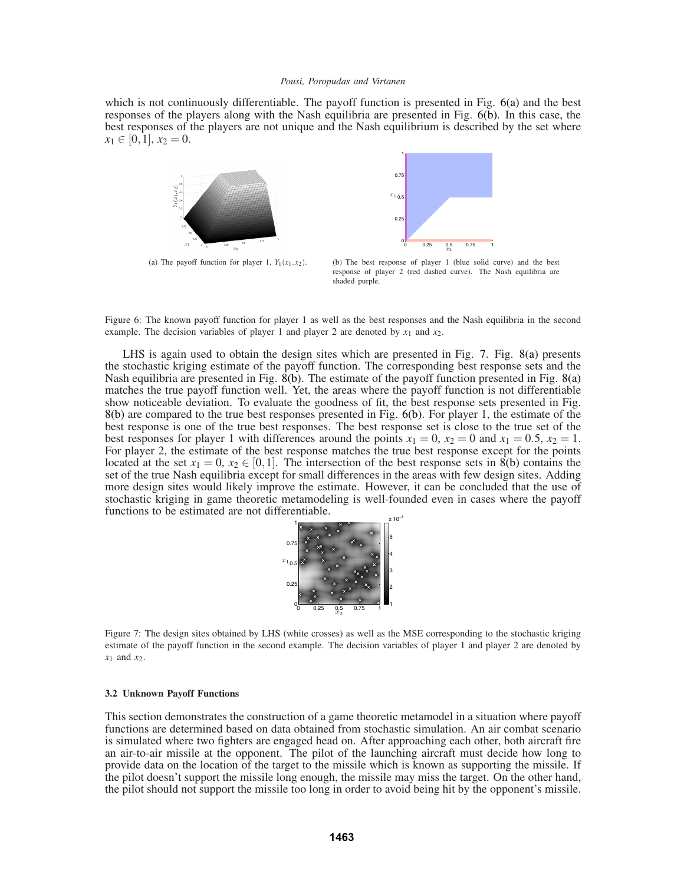which is not continuously differentiable. The payoff function is presented in Fig. 6(a) and the best responses of the players along with the Nash equilibria are presented in Fig. 6(b). In this case, the best responses of the players are not unique and the Nash equilibrium is described by the set where  $x_1 \in [0,1], x_2 = 0.$ 

1



(a) The payoff function for player 1,  $Y_1(x_1, x_2)$ .

(b) The best response of player 1 (blue solid curve) and the best response of player 2 (red dashed curve). The Nash equilibria are shaded purple.

Figure 6: The known payoff function for player 1 as well as the best responses and the Nash equilibria in the second example. The decision variables of player 1 and player 2 are denoted by  $x_1$  and  $x_2$ .

LHS is again used to obtain the design sites which are presented in Fig. 7. Fig. 8(a) presents the stochastic kriging estimate of the payoff function. The corresponding best response sets and the Nash equilibria are presented in Fig. 8(b). The estimate of the payoff function presented in Fig. 8(a) matches the true payoff function well. Yet, the areas where the payoff function is not differentiable show noticeable deviation. To evaluate the goodness of fit, the best response sets presented in Fig. 8(b) are compared to the true best responses presented in Fig. 6(b). For player 1, the estimate of the best response is one of the true best responses. The best response set is close to the true set of the best responses for player 1 with differences around the points  $x_1 = 0$ ,  $x_2 = 0$  and  $x_1 = 0.5$ ,  $x_2 = 1$ . For player 2, the estimate of the best response matches the true best response except for the points located at the set  $x_1 = 0$ ,  $x_2 \in [0,1]$ . The intersection of the best response sets in 8(b) contains the set of the true Nash equilibria except for small differences in the areas with few design sites. Adding more design sites would likely improve the estimate. However, it can be concluded that the use of stochastic kriging in game theoretic metamodeling is well-founded even in cases where the payoff functions to be estimated are not differentiable.



Figure 7: The design sites obtained by LHS (white crosses) as well as the MSE corresponding to the stochastic kriging estimate of the payoff function in the second example. The decision variables of player 1 and player 2 are denoted by *x*<sup>1</sup> and *x*2.

## **3.2 Unknown Payoff Functions**

This section demonstrates the construction of a game theoretic metamodel in a situation where payoff functions are determined based on data obtained from stochastic simulation. An air combat scenario is simulated where two fighters are engaged head on. After approaching each other, both aircraft fire an air-to-air missile at the opponent. The pilot of the launching aircraft must decide how long to provide data on the location of the target to the missile which is known as supporting the missile. If the pilot doesn't support the missile long enough, the missile may miss the target. On the other hand, the pilot should not support the missile too long in order to avoid being hit by the opponent's missile.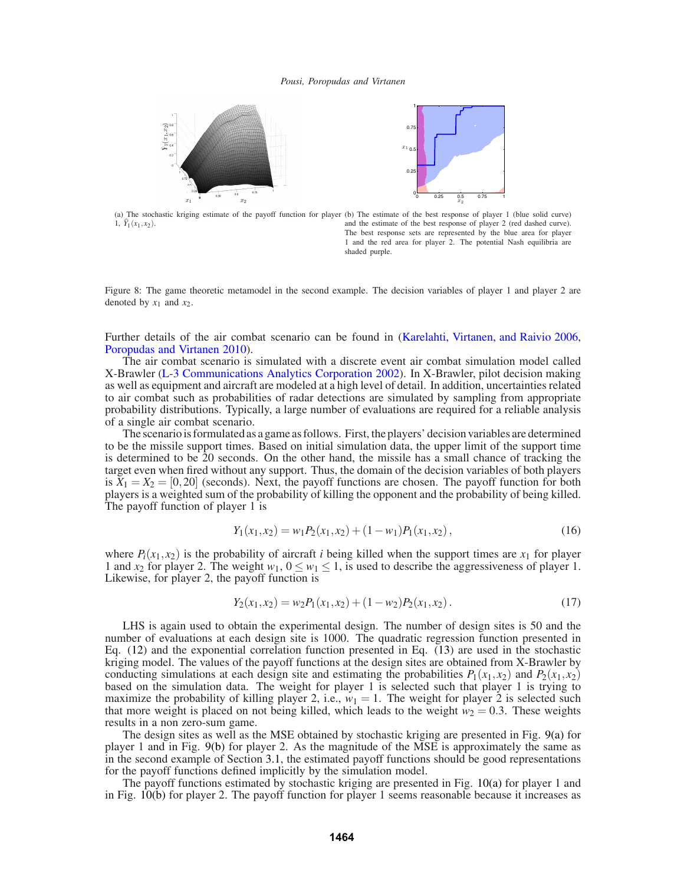

(a) The stochastic kriging estimate of the payoff function for player (b) The estimate of the best response of player 1 (blue solid curve) 1,  $\hat{Y}_1(x_1, x_2)$ . and the estimate of the best response of player 2 (red dashed curve).

The best response sets are represented by the blue area for player 1 and the red area for player 2. The potential Nash equilibria are shaded purple.

Figure 8: The game theoretic metamodel in the second example. The decision variables of player 1 and player 2 are denoted by  $x_1$  and  $x_2$ .

Further details of the air combat scenario can be found in (Karelahti, Virtanen, and Raivio 2006, Poropudas and Virtanen 2010).

The air combat scenario is simulated with a discrete event air combat simulation model called X-Brawler (L-3 Communications Analytics Corporation 2002). In X-Brawler, pilot decision making as well as equipment and aircraft are modeled at a high level of detail. In addition, uncertainties related to air combat such as probabilities of radar detections are simulated by sampling from appropriate probability distributions. Typically, a large number of evaluations are required for a reliable analysis of a single air combat scenario.

The scenario is formulated as a game as follows. First, the players' decision variables are determined to be the missile support times. Based on initial simulation data, the upper limit of the support time is determined to be 20 seconds. On the other hand, the missile has a small chance of tracking the target even when fired without any support. Thus, the domain of the decision variables of both players is  $X_1 = X_2 = [0, 20]$  (seconds). Next, the payoff functions are chosen. The payoff function for both players is a weighted sum of the probability of killing the opponent and the probability of being killed. The payoff function of player 1 is

$$
Y_1(x_1,x_2) = w_1 P_2(x_1,x_2) + (1 - w_1) P_1(x_1,x_2), \qquad (16)
$$

where  $P_i(x_1, x_2)$  is the probability of aircraft *i* being killed when the support times are  $x_1$  for player 1 and  $x_2$  for player 2. The weight  $w_1$ ,  $0 \leq w_1 \leq 1$ , is used to describe the aggressiveness of player 1. Likewise, for player 2, the payoff function is

$$
Y_2(x_1, x_2) = w_2 P_1(x_1, x_2) + (1 - w_2) P_2(x_1, x_2).
$$
 (17)

LHS is again used to obtain the experimental design. The number of design sites is 50 and the number of evaluations at each design site is 1000. The quadratic regression function presented in Eq. (12) and the exponential correlation function presented in Eq. (13) are used in the stochastic kriging model. The values of the payoff functions at the design sites are obtained from X-Brawler by conducting simulations at each design site and estimating the probabilities  $P_1(x_1, x_2)$  and  $P_2(x_1, x_2)$ based on the simulation data. The weight for player 1 is selected such that player 1 is trying to maximize the probability of killing player 2, i.e.,  $w_1 = 1$ . The weight for player 2 is selected such that more weight is placed on not being killed, which leads to the weight  $w_2 = 0.3$ . These weights results in a non zero-sum game.

The design sites as well as the MSE obtained by stochastic kriging are presented in Fig. 9(a) for player 1 and in Fig. 9(b) for player 2. As the magnitude of the MSE is approximately the same as in the second example of Section 3.1, the estimated payoff functions should be good representations for the payoff functions defined implicitly by the simulation model.

The payoff functions estimated by stochastic kriging are presented in Fig. 10(a) for player 1 and in Fig. 10(b) for player 2. The payoff function for player 1 seems reasonable because it increases as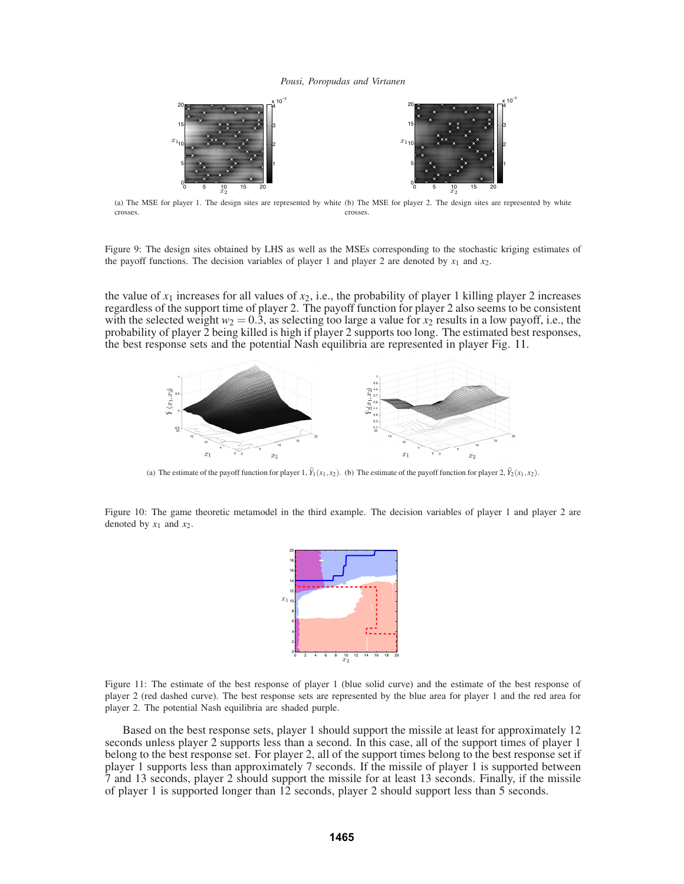*Pousi, Poropudas and Virtanen*



(a) The MSE for player 1. The design sites are represented by white (b) The MSE for player 2. The design sites are represented by white crosses. crosses.

Figure 9: The design sites obtained by LHS as well as the MSEs corresponding to the stochastic kriging estimates of the payoff functions. The decision variables of player 1 and player 2 are denoted by  $x_1$  and  $x_2$ .

the value of  $x_1$  increases for all values of  $x_2$ , i.e., the probability of player 1 killing player 2 increases regardless of the support time of player 2. The payoff function for player 2 also seems to be consistent with the selected weight  $w_2 = 0.3$ , as selecting too large a value for  $x_2$  results in a low payoff, i.e., the probability of player 2 being killed is high if player 2 supports too long. The estimated best responses, the best response sets and the potential Nash equilibria are represented in player Fig. 11.



(a) The estimate of the payoff function for player 1,  $\hat{Y}_1(x_1, x_2)$ . (b) The estimate of the payoff function for player 2,  $\hat{Y}_2(x_1, x_2)$ .

Figure 10: The game theoretic metamodel in the third example. The decision variables of player 1 and player 2 are denoted by  $x_1$  and  $x_2$ .



Figure 11: The estimate of the best response of player 1 (blue solid curve) and the estimate of the best response of player 2 (red dashed curve). The best response sets are represented by the blue area for player 1 and the red area for player 2. The potential Nash equilibria are shaded purple.

Based on the best response sets, player 1 should support the missile at least for approximately 12 seconds unless player 2 supports less than a second. In this case, all of the support times of player 1 belong to the best response set. For player 2, all of the support times belong to the best response set if player 1 supports less than approximately 7 seconds. If the missile of player 1 is supported between 7 and 13 seconds, player 2 should support the missile for at least 13 seconds. Finally, if the missile of player 1 is supported longer than  $\hat{12}$  seconds, player 2 should support less than 5 seconds.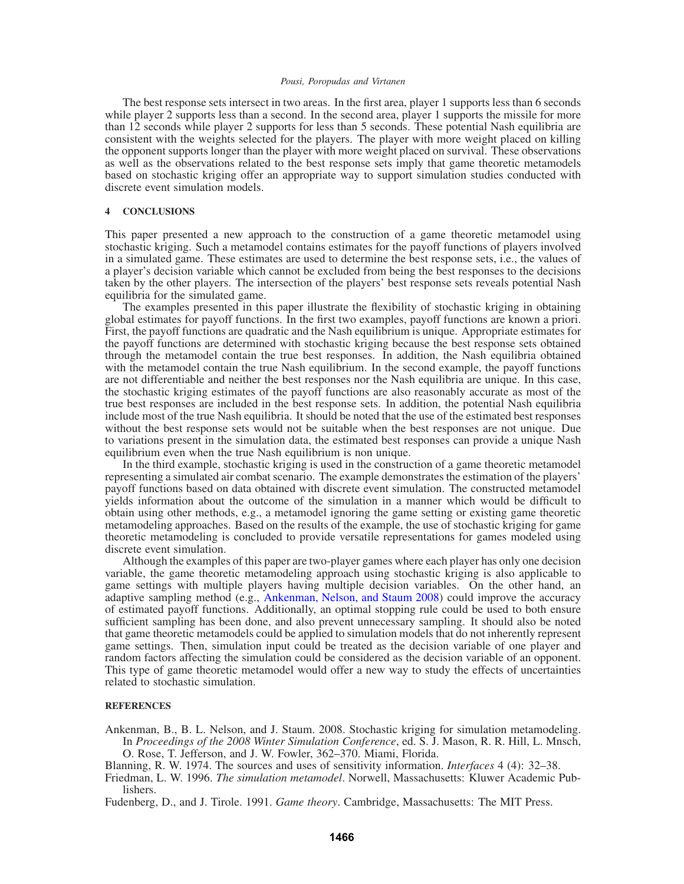The best response sets intersect in two areas. In the first area, player 1 supports less than 6 seconds while player 2 supports less than a second. In the second area, player 1 supports the missile for more than 12 seconds while player 2 supports for less than 5 seconds. These potential Nash equilibria are consistent with the weights selected for the players. The player with more weight placed on killing the opponent supports longer than the player with more weight placed on survival. These observations as well as the observations related to the best response sets imply that game theoretic metamodels based on stochastic kriging offer an appropriate way to support simulation studies conducted with discrete event simulation models.

### **4 CONCLUSIONS**

This paper presented a new approach to the construction of a game theoretic metamodel using stochastic kriging. Such a metamodel contains estimates for the payoff functions of players involved in a simulated game. These estimates are used to determine the best response sets, i.e., the values of a player's decision variable which cannot be excluded from being the best responses to the decisions taken by the other players. The intersection of the players' best response sets reveals potential Nash equilibria for the simulated game.

The examples presented in this paper illustrate the flexibility of stochastic kriging in obtaining global estimates for payoff functions. In the first two examples, payoff functions are known a priori. First, the payoff functions are quadratic and the Nash equilibrium is unique. Appropriate estimates for the payoff functions are determined with stochastic kriging because the best response sets obtained through the metamodel contain the true best responses. In addition, the Nash equilibria obtained with the metamodel contain the true Nash equilibrium. In the second example, the payoff functions are not differentiable and neither the best responses nor the Nash equilibria are unique. In this case, the stochastic kriging estimates of the payoff functions are also reasonably accurate as most of the true best responses are included in the best response sets. In addition, the potential Nash equilibria include most of the true Nash equilibria. It should be noted that the use of the estimated best responses without the best response sets would not be suitable when the best responses are not unique. Due to variations present in the simulation data, the estimated best responses can provide a unique Nash equilibrium even when the true Nash equilibrium is non unique.

In the third example, stochastic kriging is used in the construction of a game theoretic metamodel representing a simulated air combat scenario. The example demonstrates the estimation of the players' payoff functions based on data obtained with discrete event simulation. The constructed metamodel yields information about the outcome of the simulation in a manner which would be difficult to obtain using other methods, e.g., a metamodel ignoring the game setting or existing game theoretic metamodeling approaches. Based on the results of the example, the use of stochastic kriging for game theoretic metamodeling is concluded to provide versatile representations for games modeled using discrete event simulation.

Although the examples of this paper are two-player games where each player has only one decision variable, the game theoretic metamodeling approach using stochastic kriging is also applicable to game settings with multiple players having multiple decision variables. On the other hand, an adaptive sampling method (e.g., Ankenman, Nelson, and Staum 2008) could improve the accuracy of estimated payoff functions. Additionally, an optimal stopping rule could be used to both ensure sufficient sampling has been done, and also prevent unnecessary sampling. It should also be noted that game theoretic metamodels could be applied to simulation models that do not inherently represent game settings. Then, simulation input could be treated as the decision variable of one player and random factors affecting the simulation could be considered as the decision variable of an opponent. This type of game theoretic metamodel would offer a new way to study the effects of uncertainties related to stochastic simulation.

### **REFERENCES**

Ankenman, B., B. L. Nelson, and J. Staum. 2008. Stochastic kriging for simulation metamodeling. In *Proceedings of the 2008 Winter Simulation Conference*, ed. S. J. Mason, R. R. Hill, L. Mnsch, O. Rose, T. Jefferson, and J. W. Fowler, 362–370. Miami, Florida.

Blanning, R. W. 1974. The sources and uses of sensitivity information. *Interfaces* 4 (4): 32–38.

Friedman, L. W. 1996. *The simulation metamodel*. Norwell, Massachusetts: Kluwer Academic Publishers.

Fudenberg, D., and J. Tirole. 1991. *Game theory*. Cambridge, Massachusetts: The MIT Press.